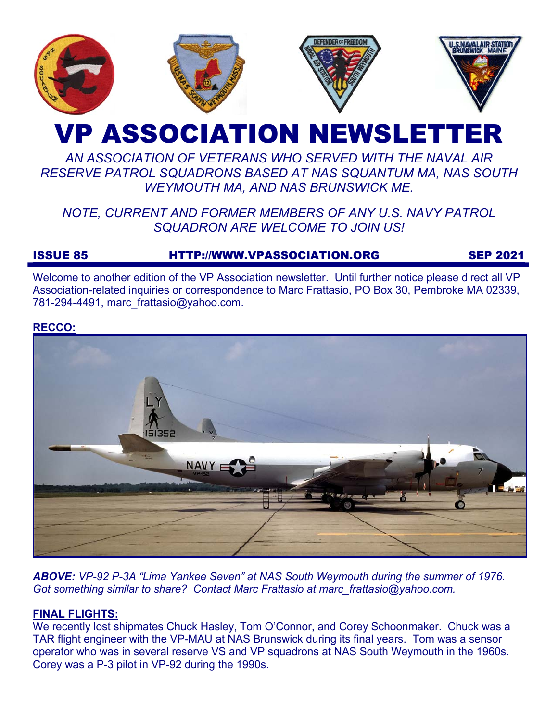

# VP ASSOCIATION NEWSLETTER

# *AN ASSOCIATION OF VETERANS WHO SERVED WITH THE NAVAL AIR RESERVE PATROL SQUADRONS BASED AT NAS SQUANTUM MA, NAS SOUTH WEYMOUTH MA, AND NAS BRUNSWICK ME.*

# *NOTE, CURRENT AND FORMER MEMBERS OF ANY U.S. NAVY PATROL SQUADRON ARE WELCOME TO JOIN US!*

# ISSUE 85 HTTP://WWW.VPASSOCIATION.ORG SEP 2021

Welcome to another edition of the VP Association newsletter. Until further notice please direct all VP Association-related inquiries or correspondence to Marc Frattasio, PO Box 30, Pembroke MA 02339, 781-294-4491, marc\_frattasio@yahoo.com.

#### **RECCO:**



*ABOVE: VP-92 P-3A "Lima Yankee Seven" at NAS South Weymouth during the summer of 1976. Got something similar to share? Contact Marc Frattasio at marc\_frattasio@yahoo.com.* 

### **FINAL FLIGHTS:**

We recently lost shipmates Chuck Hasley, Tom O'Connor, and Corey Schoonmaker. Chuck was a TAR flight engineer with the VP-MAU at NAS Brunswick during its final years. Tom was a sensor operator who was in several reserve VS and VP squadrons at NAS South Weymouth in the 1960s. Corey was a P-3 pilot in VP-92 during the 1990s.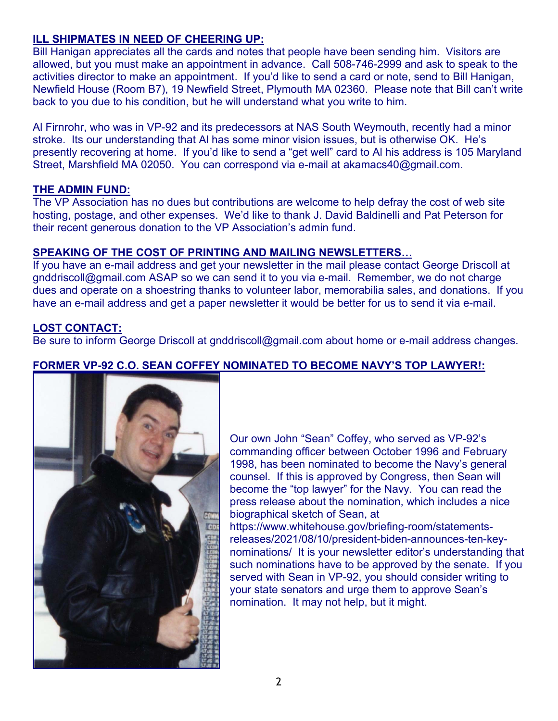## **ILL SHIPMATES IN NEED OF CHEERING UP:**

Bill Hanigan appreciates all the cards and notes that people have been sending him. Visitors are allowed, but you must make an appointment in advance. Call 508-746-2999 and ask to speak to the activities director to make an appointment. If you'd like to send a card or note, send to Bill Hanigan, Newfield House (Room B7), 19 Newfield Street, Plymouth MA 02360. Please note that Bill can't write back to you due to his condition, but he will understand what you write to him.

Al Firnrohr, who was in VP-92 and its predecessors at NAS South Weymouth, recently had a minor stroke. Its our understanding that Al has some minor vision issues, but is otherwise OK. He's presently recovering at home. If you'd like to send a "get well" card to Al his address is 105 Maryland Street, Marshfield MA 02050. You can correspond via e-mail at akamacs40@gmail.com.

#### **THE ADMIN FUND:**

The VP Association has no dues but contributions are welcome to help defray the cost of web site hosting, postage, and other expenses. We'd like to thank J. David Baldinelli and Pat Peterson for their recent generous donation to the VP Association's admin fund.

#### **SPEAKING OF THE COST OF PRINTING AND MAILING NEWSLETTERS…**

If you have an e-mail address and get your newsletter in the mail please contact George Driscoll at gnddriscoll@gmail.com ASAP so we can send it to you via e-mail. Remember, we do not charge dues and operate on a shoestring thanks to volunteer labor, memorabilia sales, and donations. If you have an e-mail address and get a paper newsletter it would be better for us to send it via e-mail.

#### **LOST CONTACT:**

Be sure to inform George Driscoll at gnddriscoll@gmail.com about home or e-mail address changes.

## **FORMER VP-92 C.O. SEAN COFFEY NOMINATED TO BECOME NAVY'S TOP LAWYER!:**



Our own John "Sean" Coffey, who served as VP-92's commanding officer between October 1996 and February 1998, has been nominated to become the Navy's general counsel. If this is approved by Congress, then Sean will become the "top lawyer" for the Navy. You can read the press release about the nomination, which includes a nice biographical sketch of Sean, at

https://www.whitehouse.gov/briefing-room/statementsreleases/2021/08/10/president-biden-announces-ten-keynominations/ It is your newsletter editor's understanding that such nominations have to be approved by the senate. If you served with Sean in VP-92, you should consider writing to your state senators and urge them to approve Sean's nomination. It may not help, but it might.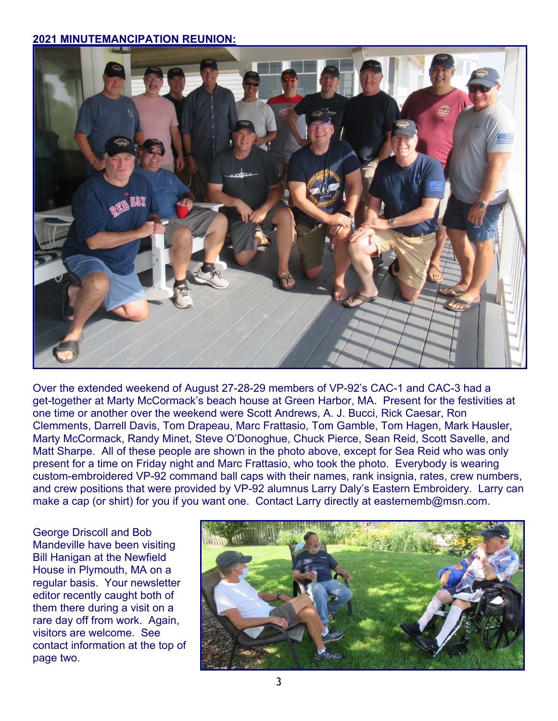#### **2021 MINUTEMANCIPATION REUNION:**



Over the extended weekend of August 27-28-29 members of VP-92's CAC-1 and CAC-3 had a get-together at Marty McCormack's beach house at Green Harbor, MA. Present for the festivities at one time or another over the weekend were Scott Andrews, A. J. Bucci, Rick Caesar, Ron Clemments, Darrell Davis, Tom Drapeau, Marc Frattasio, Tom Gamble, Tom Hagen, Mark Hausler, Marty McCormack, Randy Minet, Steve O'Donoghue, Chuck Pierce, Sean Reid, Scott Savelle, and Matt Sharpe. All of these people are shown in the photo above, except for Sea Reid who was only present for a time on Friday night and Marc Frattasio, who took the photo. Everybody is wearing custom-embroidered VP-92 command ball caps with their names, rank insignia, rates, crew numbers, and crew positions that were provided by VP-92 alumnus Larry Daly's Eastern Embroidery. Larry can make a cap (or shirt) for you if you want one. Contact Larry directly at easternemb@msn.com.

George Driscoll and Bob Mandeville have been visiting Bill Hanigan at the Newfield House in Plymouth, MA on a regular basis. Your newsletter editor recently caught both of them there during a visit on a rare day off from work. Again, visitors are welcome. See contact information at the top of page two.

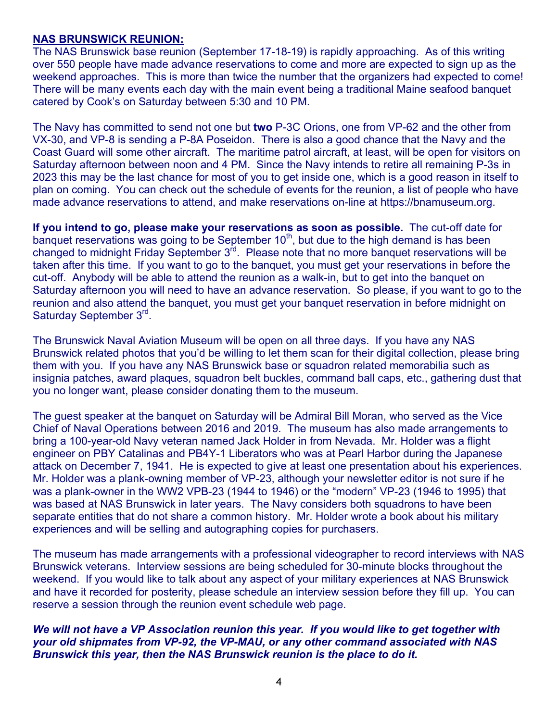#### **NAS BRUNSWICK REUNION:**

The NAS Brunswick base reunion (September 17-18-19) is rapidly approaching. As of this writing over 550 people have made advance reservations to come and more are expected to sign up as the weekend approaches. This is more than twice the number that the organizers had expected to come! There will be many events each day with the main event being a traditional Maine seafood banquet catered by Cook's on Saturday between 5:30 and 10 PM.

The Navy has committed to send not one but **two** P-3C Orions, one from VP-62 and the other from VX-30, and VP-8 is sending a P-8A Poseidon. There is also a good chance that the Navy and the Coast Guard will some other aircraft. The maritime patrol aircraft, at least, will be open for visitors on Saturday afternoon between noon and 4 PM. Since the Navy intends to retire all remaining P-3s in 2023 this may be the last chance for most of you to get inside one, which is a good reason in itself to plan on coming. You can check out the schedule of events for the reunion, a list of people who have made advance reservations to attend, and make reservations on-line at https://bnamuseum.org.

**If you intend to go, please make your reservations as soon as possible.** The cut-off date for banquet reservations was going to be September 10<sup>th</sup>, but due to the high demand is has been changed to midnight Friday September 3<sup>rd</sup>. Please note that no more banquet reservations will be taken after this time. If you want to go to the banquet, you must get your reservations in before the cut-off. Anybody will be able to attend the reunion as a walk-in, but to get into the banquet on Saturday afternoon you will need to have an advance reservation. So please, if you want to go to the reunion and also attend the banquet, you must get your banquet reservation in before midnight on Saturday September 3<sup>rd</sup>.

The Brunswick Naval Aviation Museum will be open on all three days. If you have any NAS Brunswick related photos that you'd be willing to let them scan for their digital collection, please bring them with you. If you have any NAS Brunswick base or squadron related memorabilia such as insignia patches, award plaques, squadron belt buckles, command ball caps, etc., gathering dust that you no longer want, please consider donating them to the museum.

The guest speaker at the banquet on Saturday will be Admiral Bill Moran, who served as the Vice Chief of Naval Operations between 2016 and 2019. The museum has also made arrangements to bring a 100-year-old Navy veteran named Jack Holder in from Nevada. Mr. Holder was a flight engineer on PBY Catalinas and PB4Y-1 Liberators who was at Pearl Harbor during the Japanese attack on December 7, 1941. He is expected to give at least one presentation about his experiences. Mr. Holder was a plank-owning member of VP-23, although your newsletter editor is not sure if he was a plank-owner in the WW2 VPB-23 (1944 to 1946) or the "modern" VP-23 (1946 to 1995) that was based at NAS Brunswick in later years. The Navy considers both squadrons to have been separate entities that do not share a common history. Mr. Holder wrote a book about his military experiences and will be selling and autographing copies for purchasers.

The museum has made arrangements with a professional videographer to record interviews with NAS Brunswick veterans. Interview sessions are being scheduled for 30-minute blocks throughout the weekend. If you would like to talk about any aspect of your military experiences at NAS Brunswick and have it recorded for posterity, please schedule an interview session before they fill up. You can reserve a session through the reunion event schedule web page.

#### *We will not have a VP Association reunion this year. If you would like to get together with your old shipmates from VP-92, the VP-MAU, or any other command associated with NAS Brunswick this year, then the NAS Brunswick reunion is the place to do it.*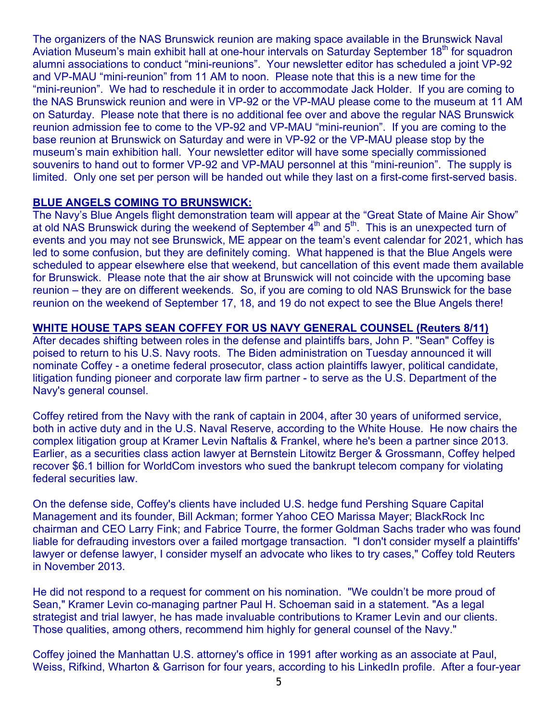The organizers of the NAS Brunswick reunion are making space available in the Brunswick Naval Aviation Museum's main exhibit hall at one-hour intervals on Saturday September 18<sup>th</sup> for squadron alumni associations to conduct "mini-reunions". Your newsletter editor has scheduled a joint VP-92 and VP-MAU "mini-reunion" from 11 AM to noon. Please note that this is a new time for the "mini-reunion". We had to reschedule it in order to accommodate Jack Holder. If you are coming to the NAS Brunswick reunion and were in VP-92 or the VP-MAU please come to the museum at 11 AM on Saturday. Please note that there is no additional fee over and above the regular NAS Brunswick reunion admission fee to come to the VP-92 and VP-MAU "mini-reunion". If you are coming to the base reunion at Brunswick on Saturday and were in VP-92 or the VP-MAU please stop by the museum's main exhibition hall. Your newsletter editor will have some specially commissioned souvenirs to hand out to former VP-92 and VP-MAU personnel at this "mini-reunion". The supply is limited. Only one set per person will be handed out while they last on a first-come first-served basis.

#### **BLUE ANGELS COMING TO BRUNSWICK:**

The Navy's Blue Angels flight demonstration team will appear at the "Great State of Maine Air Show" at old NAS Brunswick during the weekend of September 4<sup>th</sup> and 5<sup>th</sup>. This is an unexpected turn of events and you may not see Brunswick, ME appear on the team's event calendar for 2021, which has led to some confusion, but they are definitely coming. What happened is that the Blue Angels were scheduled to appear elsewhere else that weekend, but cancellation of this event made them available for Brunswick. Please note that the air show at Brunswick will not coincide with the upcoming base reunion – they are on different weekends. So, if you are coming to old NAS Brunswick for the base reunion on the weekend of September 17, 18, and 19 do not expect to see the Blue Angels there!

#### **WHITE HOUSE TAPS SEAN COFFEY FOR US NAVY GENERAL COUNSEL (Reuters 8/11)**

After decades shifting between roles in the defense and plaintiffs bars, John P. "Sean" Coffey is poised to return to his U.S. Navy roots. The Biden administration on Tuesday announced it will nominate Coffey - a onetime federal prosecutor, class action plaintiffs lawyer, political candidate, litigation funding pioneer and corporate law firm partner - to serve as the U.S. Department of the Navy's general counsel.

Coffey retired from the Navy with the rank of captain in 2004, after 30 years of uniformed service, both in active duty and in the U.S. Naval Reserve, according to the White House. He now chairs the complex litigation group at Kramer Levin Naftalis & Frankel, where he's been a partner since 2013. Earlier, as a securities class action lawyer at Bernstein Litowitz Berger & Grossmann, Coffey helped recover \$6.1 billion for WorldCom investors who sued the bankrupt telecom company for violating federal securities law.

On the defense side, Coffey's clients have included U.S. hedge fund Pershing Square Capital Management and its founder, Bill Ackman; former Yahoo CEO Marissa Mayer; BlackRock Inc chairman and CEO Larry Fink; and Fabrice Tourre, the former Goldman Sachs trader who was found liable for defrauding investors over a failed mortgage transaction. "I don't consider myself a plaintiffs' lawyer or defense lawyer, I consider myself an advocate who likes to try cases," Coffey told Reuters in November 2013.

He did not respond to a request for comment on his nomination. "We couldn't be more proud of Sean," Kramer Levin co-managing partner Paul H. Schoeman said in a statement. "As a legal strategist and trial lawyer, he has made invaluable contributions to Kramer Levin and our clients. Those qualities, among others, recommend him highly for general counsel of the Navy."

Coffey joined the Manhattan U.S. attorney's office in 1991 after working as an associate at Paul, Weiss, Rifkind, Wharton & Garrison for four years, according to his LinkedIn profile. After a four-year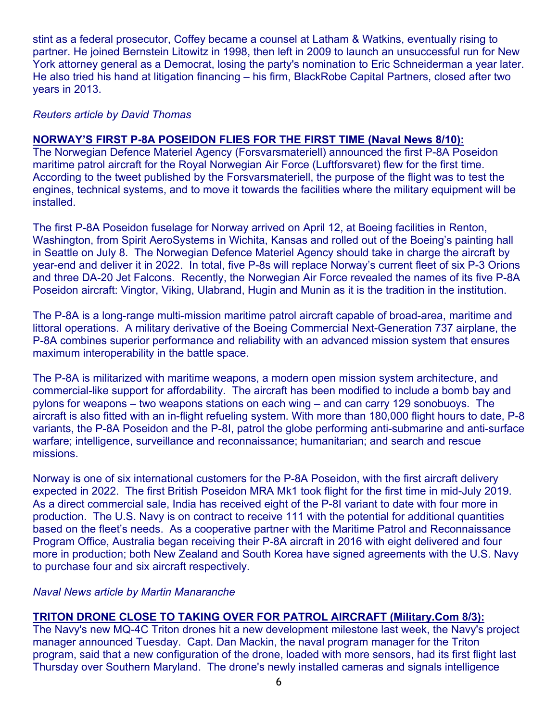stint as a federal prosecutor, Coffey became a counsel at Latham & Watkins, eventually rising to partner. He joined Bernstein Litowitz in 1998, then left in 2009 to launch an unsuccessful run for New York attorney general as a Democrat, losing the party's nomination to Eric Schneiderman a year later. He also tried his hand at litigation financing – his firm, BlackRobe Capital Partners, closed after two years in 2013.

#### *Reuters article by David Thomas*

#### **NORWAY'S FIRST P-8A POSEIDON FLIES FOR THE FIRST TIME (Naval News 8/10):**

The Norwegian Defence Materiel Agency (Forsvarsmateriell) announced the first P-8A Poseidon maritime patrol aircraft for the Royal Norwegian Air Force (Luftforsvaret) flew for the first time. According to the tweet published by the Forsvarsmateriell, the purpose of the flight was to test the engines, technical systems, and to move it towards the facilities where the military equipment will be installed.

The first P-8A Poseidon fuselage for Norway arrived on April 12, at Boeing facilities in Renton, Washington, from Spirit AeroSystems in Wichita, Kansas and rolled out of the Boeing's painting hall in Seattle on July 8. The Norwegian Defence Materiel Agency should take in charge the aircraft by year-end and deliver it in 2022. In total, five P-8s will replace Norway's current fleet of six P-3 Orions and three DA-20 Jet Falcons. Recently, the Norwegian Air Force revealed the names of its five P-8A Poseidon aircraft: Vingtor, Viking, Ulabrand, Hugin and Munin as it is the tradition in the institution.

The P-8A is a long-range multi-mission maritime patrol aircraft capable of broad-area, maritime and littoral operations. A military derivative of the Boeing Commercial Next-Generation 737 airplane, the P-8A combines superior performance and reliability with an advanced mission system that ensures maximum interoperability in the battle space.

The P-8A is militarized with maritime weapons, a modern open mission system architecture, and commercial-like support for affordability. The aircraft has been modified to include a bomb bay and pylons for weapons – two weapons stations on each wing – and can carry 129 sonobuoys. The aircraft is also fitted with an in-flight refueling system. With more than 180,000 flight hours to date, P-8 variants, the P-8A Poseidon and the P-8I, patrol the globe performing anti-submarine and anti-surface warfare; intelligence, surveillance and reconnaissance; humanitarian; and search and rescue missions.

Norway is one of six international customers for the P-8A Poseidon, with the first aircraft delivery expected in 2022. The first British Poseidon MRA Mk1 took flight for the first time in mid-July 2019. As a direct commercial sale, India has received eight of the P-8I variant to date with four more in production. The U.S. Navy is on contract to receive 111 with the potential for additional quantities based on the fleet's needs. As a cooperative partner with the Maritime Patrol and Reconnaissance Program Office, Australia began receiving their P-8A aircraft in 2016 with eight delivered and four more in production; both New Zealand and South Korea have signed agreements with the U.S. Navy to purchase four and six aircraft respectively.

#### *Naval News article by Martin Manaranche*

#### **TRITON DRONE CLOSE TO TAKING OVER FOR PATROL AIRCRAFT (Military.Com 8/3):**

The Navy's new MQ-4C Triton drones hit a new development milestone last week, the Navy's project manager announced Tuesday. Capt. Dan Mackin, the naval program manager for the Triton program, said that a new configuration of the drone, loaded with more sensors, had its first flight last Thursday over Southern Maryland. The drone's newly installed cameras and signals intelligence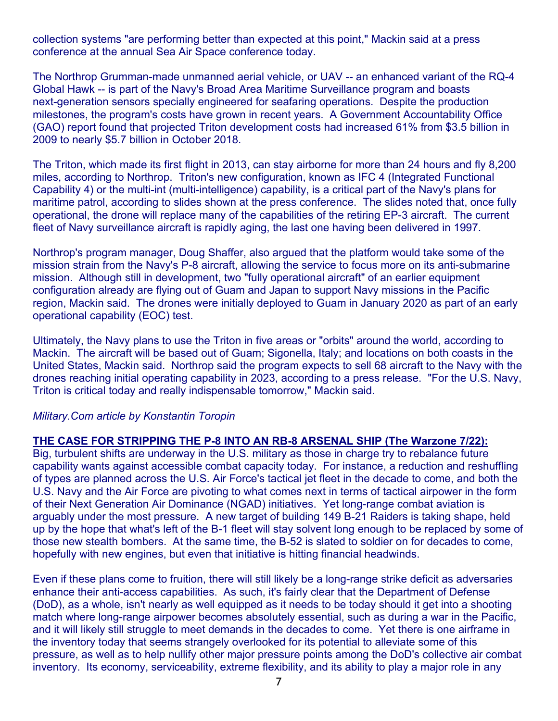collection systems "are performing better than expected at this point," Mackin said at a press conference at the annual Sea Air Space conference today.

The Northrop Grumman-made unmanned aerial vehicle, or UAV -- an enhanced variant of the RQ-4 Global Hawk -- is part of the Navy's Broad Area Maritime Surveillance program and boasts next-generation sensors specially engineered for seafaring operations. Despite the production milestones, the program's costs have grown in recent years. A Government Accountability Office (GAO) report found that projected Triton development costs had increased 61% from \$3.5 billion in 2009 to nearly \$5.7 billion in October 2018.

The Triton, which made its first flight in 2013, can stay airborne for more than 24 hours and fly 8,200 miles, according to Northrop. Triton's new configuration, known as IFC 4 (Integrated Functional Capability 4) or the multi-int (multi-intelligence) capability, is a critical part of the Navy's plans for maritime patrol, according to slides shown at the press conference. The slides noted that, once fully operational, the drone will replace many of the capabilities of the retiring EP-3 aircraft. The current fleet of Navy surveillance aircraft is rapidly aging, the last one having been delivered in 1997.

Northrop's program manager, Doug Shaffer, also argued that the platform would take some of the mission strain from the Navy's P-8 aircraft, allowing the service to focus more on its anti-submarine mission. Although still in development, two "fully operational aircraft" of an earlier equipment configuration already are flying out of Guam and Japan to support Navy missions in the Pacific region, Mackin said. The drones were initially deployed to Guam in January 2020 as part of an early operational capability (EOC) test.

Ultimately, the Navy plans to use the Triton in five areas or "orbits" around the world, according to Mackin. The aircraft will be based out of Guam; Sigonella, Italy; and locations on both coasts in the United States, Mackin said. Northrop said the program expects to sell 68 aircraft to the Navy with the drones reaching initial operating capability in 2023, according to a press release. "For the U.S. Navy, Triton is critical today and really indispensable tomorrow," Mackin said.

#### *Military.Com article by Konstantin Toropin*

#### **THE CASE FOR STRIPPING THE P-8 INTO AN RB-8 ARSENAL SHIP (The Warzone 7/22):**

Big, turbulent shifts are underway in the U.S. military as those in charge try to rebalance future capability wants against accessible combat capacity today. For instance, a reduction and reshuffling of types are planned across the U.S. Air Force's tactical jet fleet in the decade to come, and both the U.S. Navy and the Air Force are pivoting to what comes next in terms of tactical airpower in the form of their Next Generation Air Dominance (NGAD) initiatives. Yet long-range combat aviation is arguably under the most pressure. A new target of building 149 B-21 Raiders is taking shape, held up by the hope that what's left of the B-1 fleet will stay solvent long enough to be replaced by some of those new stealth bombers. At the same time, the B-52 is slated to soldier on for decades to come, hopefully with new engines, but even that initiative is hitting financial headwinds.

Even if these plans come to fruition, there will still likely be a long-range strike deficit as adversaries enhance their anti-access capabilities. As such, it's fairly clear that the Department of Defense (DoD), as a whole, isn't nearly as well equipped as it needs to be today should it get into a shooting match where long-range airpower becomes absolutely essential, such as during a war in the Pacific, and it will likely still struggle to meet demands in the decades to come. Yet there is one airframe in the inventory today that seems strangely overlooked for its potential to alleviate some of this pressure, as well as to help nullify other major pressure points among the DoD's collective air combat inventory. Its economy, serviceability, extreme flexibility, and its ability to play a major role in any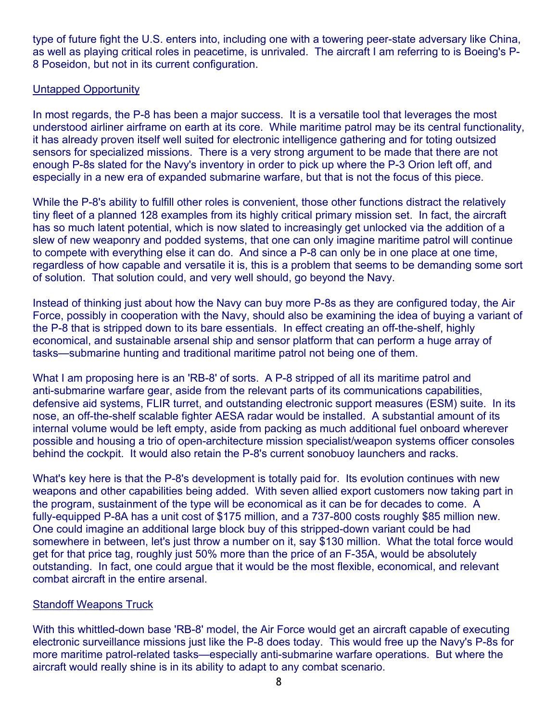type of future fight the U.S. enters into, including one with a towering peer-state adversary like China, as well as playing critical roles in peacetime, is unrivaled. The aircraft I am referring to is Boeing's P-8 Poseidon, but not in its current configuration.

#### Untapped Opportunity

In most regards, the P-8 has been a major success. It is a versatile tool that leverages the most understood airliner airframe on earth at its core. While maritime patrol may be its central functionality, it has already proven itself well suited for electronic intelligence gathering and for toting outsized sensors for specialized missions. There is a very strong argument to be made that there are not enough P-8s slated for the Navy's inventory in order to pick up where the P-3 Orion left off, and especially in a new era of expanded submarine warfare, but that is not the focus of this piece.

While the P-8's ability to fulfill other roles is convenient, those other functions distract the relatively tiny fleet of a planned 128 examples from its highly critical primary mission set. In fact, the aircraft has so much latent potential, which is now slated to increasingly get unlocked via the addition of a slew of new weaponry and podded systems, that one can only imagine maritime patrol will continue to compete with everything else it can do. And since a P-8 can only be in one place at one time, regardless of how capable and versatile it is, this is a problem that seems to be demanding some sort of solution. That solution could, and very well should, go beyond the Navy.

Instead of thinking just about how the Navy can buy more P-8s as they are configured today, the Air Force, possibly in cooperation with the Navy, should also be examining the idea of buying a variant of the P-8 that is stripped down to its bare essentials. In effect creating an off-the-shelf, highly economical, and sustainable arsenal ship and sensor platform that can perform a huge array of tasks—submarine hunting and traditional maritime patrol not being one of them.

What I am proposing here is an 'RB-8' of sorts. A P-8 stripped of all its maritime patrol and anti-submarine warfare gear, aside from the relevant parts of its communications capabilities, defensive aid systems, FLIR turret, and outstanding electronic support measures (ESM) suite. In its nose, an off-the-shelf scalable fighter AESA radar would be installed. A substantial amount of its internal volume would be left empty, aside from packing as much additional fuel onboard wherever possible and housing a trio of open-architecture mission specialist/weapon systems officer consoles behind the cockpit. It would also retain the P-8's current sonobuoy launchers and racks.

What's key here is that the P-8's development is totally paid for. Its evolution continues with new weapons and other capabilities being added. With seven allied export customers now taking part in the program, sustainment of the type will be economical as it can be for decades to come. A fully-equipped P-8A has a unit cost of \$175 million, and a 737-800 costs roughly \$85 million new. One could imagine an additional large block buy of this stripped-down variant could be had somewhere in between, let's just throw a number on it, say \$130 million. What the total force would get for that price tag, roughly just 50% more than the price of an F-35A, would be absolutely outstanding. In fact, one could argue that it would be the most flexible, economical, and relevant combat aircraft in the entire arsenal.

#### Standoff Weapons Truck

With this whittled-down base 'RB-8' model, the Air Force would get an aircraft capable of executing electronic surveillance missions just like the P-8 does today. This would free up the Navy's P-8s for more maritime patrol-related tasks—especially anti-submarine warfare operations. But where the aircraft would really shine is in its ability to adapt to any combat scenario.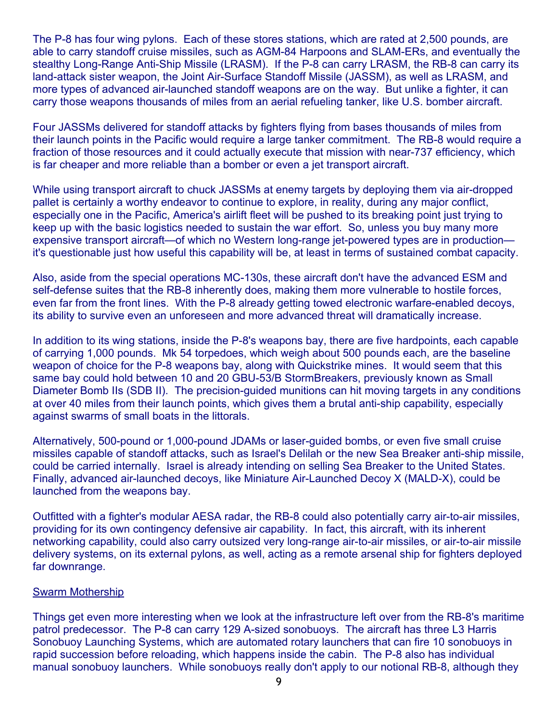The P-8 has four wing pylons. Each of these stores stations, which are rated at 2,500 pounds, are able to carry standoff cruise missiles, such as AGM-84 Harpoons and SLAM-ERs, and eventually the stealthy Long-Range Anti-Ship Missile (LRASM). If the P-8 can carry LRASM, the RB-8 can carry its land-attack sister weapon, the Joint Air-Surface Standoff Missile (JASSM), as well as LRASM, and more types of advanced air-launched standoff weapons are on the way. But unlike a fighter, it can carry those weapons thousands of miles from an aerial refueling tanker, like U.S. bomber aircraft.

Four JASSMs delivered for standoff attacks by fighters flying from bases thousands of miles from their launch points in the Pacific would require a large tanker commitment. The RB-8 would require a fraction of those resources and it could actually execute that mission with near-737 efficiency, which is far cheaper and more reliable than a bomber or even a jet transport aircraft.

While using transport aircraft to chuck JASSMs at enemy targets by deploying them via air-dropped pallet is certainly a worthy endeavor to continue to explore, in reality, during any major conflict, especially one in the Pacific, America's airlift fleet will be pushed to its breaking point just trying to keep up with the basic logistics needed to sustain the war effort. So, unless you buy many more expensive transport aircraft—of which no Western long-range jet-powered types are in production it's questionable just how useful this capability will be, at least in terms of sustained combat capacity.

Also, aside from the special operations MC-130s, these aircraft don't have the advanced ESM and self-defense suites that the RB-8 inherently does, making them more vulnerable to hostile forces, even far from the front lines. With the P-8 already getting towed electronic warfare-enabled decoys, its ability to survive even an unforeseen and more advanced threat will dramatically increase.

In addition to its wing stations, inside the P-8's weapons bay, there are five hardpoints, each capable of carrying 1,000 pounds. Mk 54 torpedoes, which weigh about 500 pounds each, are the baseline weapon of choice for the P-8 weapons bay, along with Quickstrike mines. It would seem that this same bay could hold between 10 and 20 GBU-53/B StormBreakers, previously known as Small Diameter Bomb IIs (SDB II). The precision-guided munitions can hit moving targets in any conditions at over 40 miles from their launch points, which gives them a brutal anti-ship capability, especially against swarms of small boats in the littorals.

Alternatively, 500-pound or 1,000-pound JDAMs or laser-guided bombs, or even five small cruise missiles capable of standoff attacks, such as Israel's Delilah or the new Sea Breaker anti-ship missile, could be carried internally. Israel is already intending on selling Sea Breaker to the United States. Finally, advanced air-launched decoys, like Miniature Air-Launched Decoy X (MALD-X), could be launched from the weapons bay.

Outfitted with a fighter's modular AESA radar, the RB-8 could also potentially carry air-to-air missiles, providing for its own contingency defensive air capability. In fact, this aircraft, with its inherent networking capability, could also carry outsized very long-range air-to-air missiles, or air-to-air missile delivery systems, on its external pylons, as well, acting as a remote arsenal ship for fighters deployed far downrange.

#### Swarm Mothership

Things get even more interesting when we look at the infrastructure left over from the RB-8's maritime patrol predecessor. The P-8 can carry 129 A-sized sonobuoys. The aircraft has three L3 Harris Sonobuoy Launching Systems, which are automated rotary launchers that can fire 10 sonobuoys in rapid succession before reloading, which happens inside the cabin. The P-8 also has individual manual sonobuoy launchers. While sonobuoys really don't apply to our notional RB-8, although they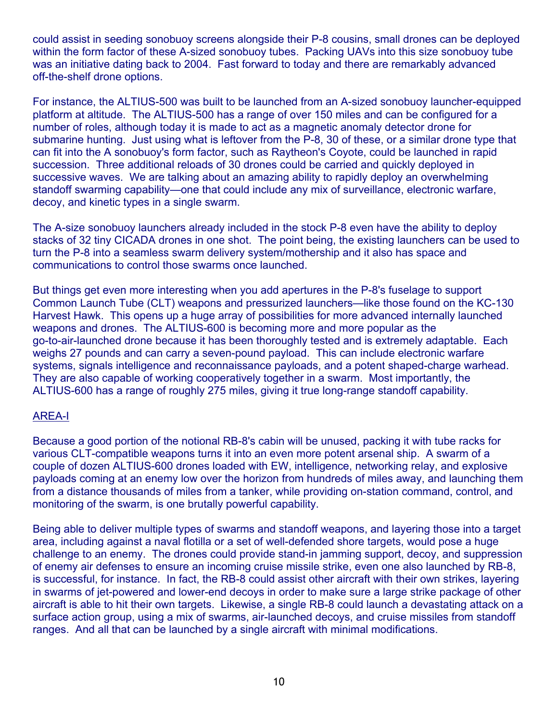could assist in seeding sonobuoy screens alongside their P-8 cousins, small drones can be deployed within the form factor of these A-sized sonobuoy tubes. Packing UAVs into this size sonobuoy tube was an initiative dating back to 2004. Fast forward to today and there are remarkably advanced off-the-shelf drone options.

For instance, the ALTIUS-500 was built to be launched from an A-sized sonobuoy launcher-equipped platform at altitude. The ALTIUS-500 has a range of over 150 miles and can be configured for a number of roles, although today it is made to act as a magnetic anomaly detector drone for submarine hunting. Just using what is leftover from the P-8, 30 of these, or a similar drone type that can fit into the A sonobuoy's form factor, such as Raytheon's Coyote, could be launched in rapid succession. Three additional reloads of 30 drones could be carried and quickly deployed in successive waves. We are talking about an amazing ability to rapidly deploy an overwhelming standoff swarming capability—one that could include any mix of surveillance, electronic warfare, decoy, and kinetic types in a single swarm.

The A-size sonobuoy launchers already included in the stock P-8 even have the ability to deploy stacks of 32 tiny CICADA drones in one shot. The point being, the existing launchers can be used to turn the P-8 into a seamless swarm delivery system/mothership and it also has space and communications to control those swarms once launched.

But things get even more interesting when you add apertures in the P-8's fuselage to support Common Launch Tube (CLT) weapons and pressurized launchers—like those found on the KC-130 Harvest Hawk. This opens up a huge array of possibilities for more advanced internally launched weapons and drones. The ALTIUS-600 is becoming more and more popular as the go-to-air-launched drone because it has been thoroughly tested and is extremely adaptable. Each weighs 27 pounds and can carry a seven-pound payload. This can include electronic warfare systems, signals intelligence and reconnaissance payloads, and a potent shaped-charge warhead. They are also capable of working cooperatively together in a swarm. Most importantly, the ALTIUS-600 has a range of roughly 275 miles, giving it true long-range standoff capability.

#### AREA-I

Because a good portion of the notional RB-8's cabin will be unused, packing it with tube racks for various CLT-compatible weapons turns it into an even more potent arsenal ship. A swarm of a couple of dozen ALTIUS-600 drones loaded with EW, intelligence, networking relay, and explosive payloads coming at an enemy low over the horizon from hundreds of miles away, and launching them from a distance thousands of miles from a tanker, while providing on-station command, control, and monitoring of the swarm, is one brutally powerful capability.

Being able to deliver multiple types of swarms and standoff weapons, and layering those into a target area, including against a naval flotilla or a set of well-defended shore targets, would pose a huge challenge to an enemy. The drones could provide stand-in jamming support, decoy, and suppression of enemy air defenses to ensure an incoming cruise missile strike, even one also launched by RB-8, is successful, for instance. In fact, the RB-8 could assist other aircraft with their own strikes, layering in swarms of jet-powered and lower-end decoys in order to make sure a large strike package of other aircraft is able to hit their own targets. Likewise, a single RB-8 could launch a devastating attack on a surface action group, using a mix of swarms, air-launched decoys, and cruise missiles from standoff ranges. And all that can be launched by a single aircraft with minimal modifications.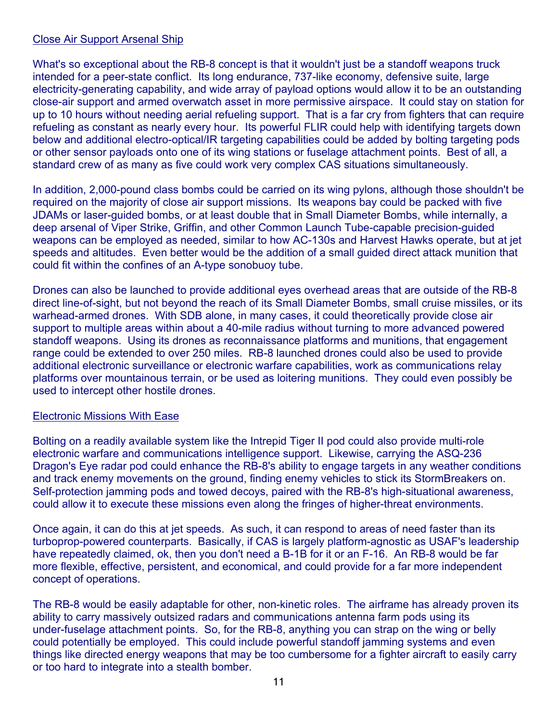#### Close Air Support Arsenal Ship

What's so exceptional about the RB-8 concept is that it wouldn't just be a standoff weapons truck intended for a peer-state conflict. Its long endurance, 737-like economy, defensive suite, large electricity-generating capability, and wide array of payload options would allow it to be an outstanding close-air support and armed overwatch asset in more permissive airspace. It could stay on station for up to 10 hours without needing aerial refueling support. That is a far cry from fighters that can require refueling as constant as nearly every hour. Its powerful FLIR could help with identifying targets down below and additional electro-optical/IR targeting capabilities could be added by bolting targeting pods or other sensor payloads onto one of its wing stations or fuselage attachment points. Best of all, a standard crew of as many as five could work very complex CAS situations simultaneously.

In addition, 2,000-pound class bombs could be carried on its wing pylons, although those shouldn't be required on the majority of close air support missions. Its weapons bay could be packed with five JDAMs or laser-guided bombs, or at least double that in Small Diameter Bombs, while internally, a deep arsenal of Viper Strike, Griffin, and other Common Launch Tube-capable precision-guided weapons can be employed as needed, similar to how AC-130s and Harvest Hawks operate, but at jet speeds and altitudes. Even better would be the addition of a small guided direct attack munition that could fit within the confines of an A-type sonobuoy tube.

Drones can also be launched to provide additional eyes overhead areas that are outside of the RB-8 direct line-of-sight, but not beyond the reach of its Small Diameter Bombs, small cruise missiles, or its warhead-armed drones. With SDB alone, in many cases, it could theoretically provide close air support to multiple areas within about a 40-mile radius without turning to more advanced powered standoff weapons. Using its drones as reconnaissance platforms and munitions, that engagement range could be extended to over 250 miles. RB-8 launched drones could also be used to provide additional electronic surveillance or electronic warfare capabilities, work as communications relay platforms over mountainous terrain, or be used as loitering munitions. They could even possibly be used to intercept other hostile drones.

#### Electronic Missions With Ease

Bolting on a readily available system like the Intrepid Tiger II pod could also provide multi-role electronic warfare and communications intelligence support. Likewise, carrying the ASQ-236 Dragon's Eye radar pod could enhance the RB-8's ability to engage targets in any weather conditions and track enemy movements on the ground, finding enemy vehicles to stick its StormBreakers on. Self-protection jamming pods and towed decoys, paired with the RB-8's high-situational awareness, could allow it to execute these missions even along the fringes of higher-threat environments.

Once again, it can do this at jet speeds. As such, it can respond to areas of need faster than its turboprop-powered counterparts. Basically, if CAS is largely platform-agnostic as USAF's leadership have repeatedly claimed, ok, then you don't need a B-1B for it or an F-16. An RB-8 would be far more flexible, effective, persistent, and economical, and could provide for a far more independent concept of operations.

The RB-8 would be easily adaptable for other, non-kinetic roles. The airframe has already proven its ability to carry massively outsized radars and communications antenna farm pods using its under-fuselage attachment points. So, for the RB-8, anything you can strap on the wing or belly could potentially be employed. This could include powerful standoff jamming systems and even things like directed energy weapons that may be too cumbersome for a fighter aircraft to easily carry or too hard to integrate into a stealth bomber.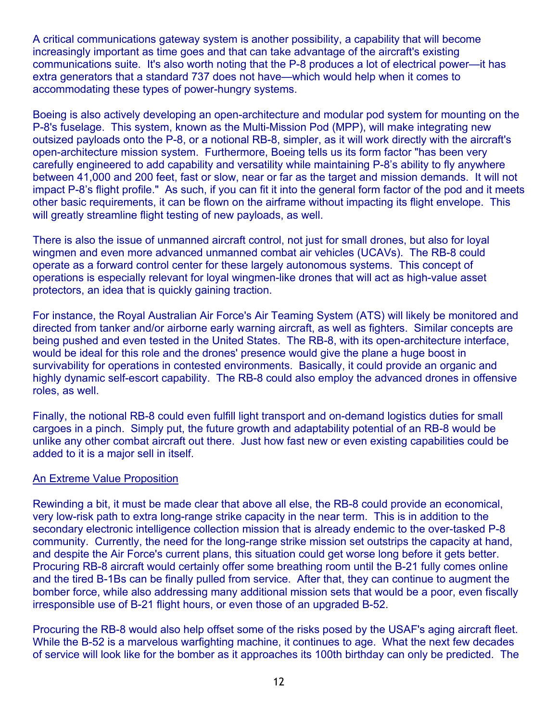A critical communications gateway system is another possibility, a capability that will become increasingly important as time goes and that can take advantage of the aircraft's existing communications suite. It's also worth noting that the P-8 produces a lot of electrical power—it has extra generators that a standard 737 does not have—which would help when it comes to accommodating these types of power-hungry systems.

Boeing is also actively developing an open-architecture and modular pod system for mounting on the P-8's fuselage. This system, known as the Multi-Mission Pod (MPP), will make integrating new outsized payloads onto the P-8, or a notional RB-8, simpler, as it will work directly with the aircraft's open-architecture mission system. Furthermore, Boeing tells us its form factor "has been very carefully engineered to add capability and versatility while maintaining P-8's ability to fly anywhere between 41,000 and 200 feet, fast or slow, near or far as the target and mission demands. It will not impact P-8's flight profile." As such, if you can fit it into the general form factor of the pod and it meets other basic requirements, it can be flown on the airframe without impacting its flight envelope. This will greatly streamline flight testing of new payloads, as well.

There is also the issue of unmanned aircraft control, not just for small drones, but also for loyal wingmen and even more advanced unmanned combat air vehicles (UCAVs). The RB-8 could operate as a forward control center for these largely autonomous systems. This concept of operations is especially relevant for loyal wingmen-like drones that will act as high-value asset protectors, an idea that is quickly gaining traction.

For instance, the Royal Australian Air Force's Air Teaming System (ATS) will likely be monitored and directed from tanker and/or airborne early warning aircraft, as well as fighters. Similar concepts are being pushed and even tested in the United States. The RB-8, with its open-architecture interface, would be ideal for this role and the drones' presence would give the plane a huge boost in survivability for operations in contested environments. Basically, it could provide an organic and highly dynamic self-escort capability. The RB-8 could also employ the advanced drones in offensive roles, as well.

Finally, the notional RB-8 could even fulfill light transport and on-demand logistics duties for small cargoes in a pinch. Simply put, the future growth and adaptability potential of an RB-8 would be unlike any other combat aircraft out there. Just how fast new or even existing capabilities could be added to it is a major sell in itself.

#### An Extreme Value Proposition

Rewinding a bit, it must be made clear that above all else, the RB-8 could provide an economical, very low-risk path to extra long-range strike capacity in the near term. This is in addition to the secondary electronic intelligence collection mission that is already endemic to the over-tasked P-8 community. Currently, the need for the long-range strike mission set outstrips the capacity at hand, and despite the Air Force's current plans, this situation could get worse long before it gets better. Procuring RB-8 aircraft would certainly offer some breathing room until the B-21 fully comes online and the tired B-1Bs can be finally pulled from service. After that, they can continue to augment the bomber force, while also addressing many additional mission sets that would be a poor, even fiscally irresponsible use of B-21 flight hours, or even those of an upgraded B-52.

Procuring the RB-8 would also help offset some of the risks posed by the USAF's aging aircraft fleet. While the B-52 is a marvelous warfighting machine, it continues to age. What the next few decades of service will look like for the bomber as it approaches its 100th birthday can only be predicted. The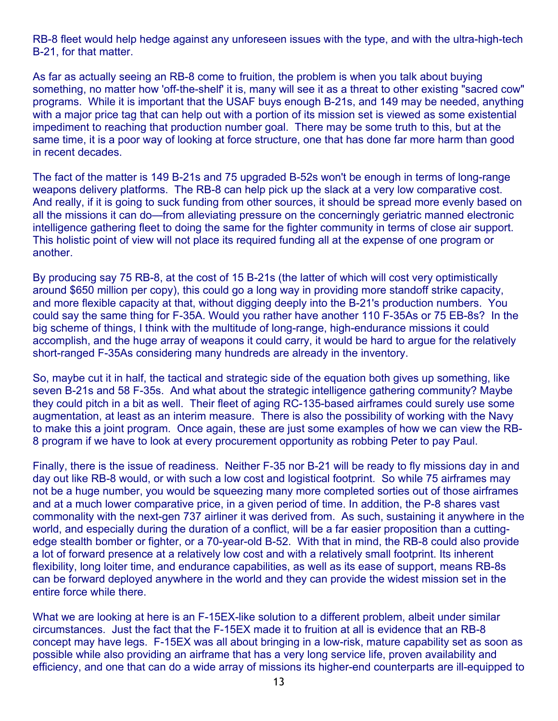RB-8 fleet would help hedge against any unforeseen issues with the type, and with the ultra-high-tech B-21, for that matter.

As far as actually seeing an RB-8 come to fruition, the problem is when you talk about buying something, no matter how 'off-the-shelf' it is, many will see it as a threat to other existing "sacred cow" programs. While it is important that the USAF buys enough B-21s, and 149 may be needed, anything with a major price tag that can help out with a portion of its mission set is viewed as some existential impediment to reaching that production number goal. There may be some truth to this, but at the same time, it is a poor way of looking at force structure, one that has done far more harm than good in recent decades.

The fact of the matter is 149 B-21s and 75 upgraded B-52s won't be enough in terms of long-range weapons delivery platforms. The RB-8 can help pick up the slack at a very low comparative cost. And really, if it is going to suck funding from other sources, it should be spread more evenly based on all the missions it can do—from alleviating pressure on the concerningly geriatric manned electronic intelligence gathering fleet to doing the same for the fighter community in terms of close air support. This holistic point of view will not place its required funding all at the expense of one program or another.

By producing say 75 RB-8, at the cost of 15 B-21s (the latter of which will cost very optimistically around \$650 million per copy), this could go a long way in providing more standoff strike capacity, and more flexible capacity at that, without digging deeply into the B-21's production numbers. You could say the same thing for F-35A. Would you rather have another 110 F-35As or 75 EB-8s? In the big scheme of things, I think with the multitude of long-range, high-endurance missions it could accomplish, and the huge array of weapons it could carry, it would be hard to argue for the relatively short-ranged F-35As considering many hundreds are already in the inventory.

So, maybe cut it in half, the tactical and strategic side of the equation both gives up something, like seven B-21s and 58 F-35s. And what about the strategic intelligence gathering community? Maybe they could pitch in a bit as well. Their fleet of aging RC-135-based airframes could surely use some augmentation, at least as an interim measure. There is also the possibility of working with the Navy to make this a joint program. Once again, these are just some examples of how we can view the RB-8 program if we have to look at every procurement opportunity as robbing Peter to pay Paul.

Finally, there is the issue of readiness. Neither F-35 nor B-21 will be ready to fly missions day in and day out like RB-8 would, or with such a low cost and logistical footprint. So while 75 airframes may not be a huge number, you would be squeezing many more completed sorties out of those airframes and at a much lower comparative price, in a given period of time. In addition, the P-8 shares vast commonality with the next-gen 737 airliner it was derived from. As such, sustaining it anywhere in the world, and especially during the duration of a conflict, will be a far easier proposition than a cuttingedge stealth bomber or fighter, or a 70-year-old B-52. With that in mind, the RB-8 could also provide a lot of forward presence at a relatively low cost and with a relatively small footprint. Its inherent flexibility, long loiter time, and endurance capabilities, as well as its ease of support, means RB-8s can be forward deployed anywhere in the world and they can provide the widest mission set in the entire force while there.

What we are looking at here is an F-15EX-like solution to a different problem, albeit under similar circumstances. Just the fact that the F-15EX made it to fruition at all is evidence that an RB-8 concept may have legs. F-15EX was all about bringing in a low-risk, mature capability set as soon as possible while also providing an airframe that has a very long service life, proven availability and efficiency, and one that can do a wide array of missions its higher-end counterparts are ill-equipped to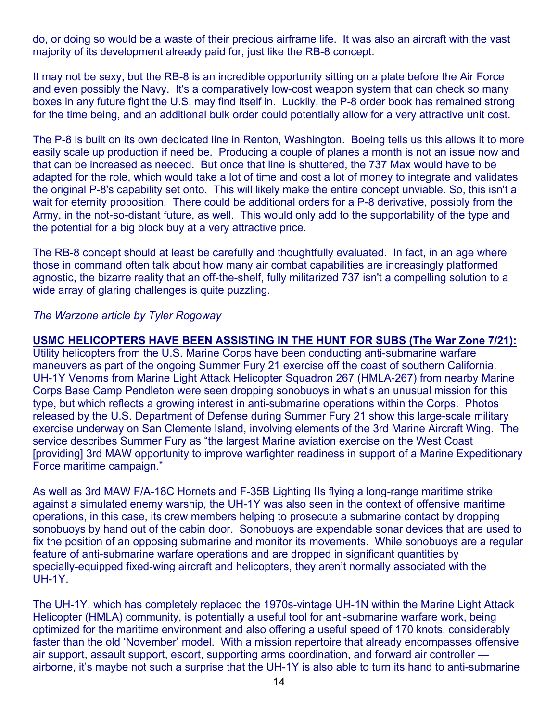do, or doing so would be a waste of their precious airframe life. It was also an aircraft with the vast majority of its development already paid for, just like the RB-8 concept.

It may not be sexy, but the RB-8 is an incredible opportunity sitting on a plate before the Air Force and even possibly the Navy. It's a comparatively low-cost weapon system that can check so many boxes in any future fight the U.S. may find itself in. Luckily, the P-8 order book has remained strong for the time being, and an additional bulk order could potentially allow for a very attractive unit cost.

The P-8 is built on its own dedicated line in Renton, Washington. Boeing tells us this allows it to more easily scale up production if need be. Producing a couple of planes a month is not an issue now and that can be increased as needed. But once that line is shuttered, the 737 Max would have to be adapted for the role, which would take a lot of time and cost a lot of money to integrate and validates the original P-8's capability set onto. This will likely make the entire concept unviable. So, this isn't a wait for eternity proposition. There could be additional orders for a P-8 derivative, possibly from the Army, in the not-so-distant future, as well. This would only add to the supportability of the type and the potential for a big block buy at a very attractive price.

The RB-8 concept should at least be carefully and thoughtfully evaluated. In fact, in an age where those in command often talk about how many air combat capabilities are increasingly platformed agnostic, the bizarre reality that an off-the-shelf, fully militarized 737 isn't a compelling solution to a wide array of glaring challenges is quite puzzling.

#### *The Warzone article by Tyler Rogoway*

#### **USMC HELICOPTERS HAVE BEEN ASSISTING IN THE HUNT FOR SUBS (The War Zone 7/21):**

Utility helicopters from the U.S. Marine Corps have been conducting anti-submarine warfare maneuvers as part of the ongoing Summer Fury 21 exercise off the coast of southern California. UH-1Y Venoms from Marine Light Attack Helicopter Squadron 267 (HMLA-267) from nearby Marine Corps Base Camp Pendleton were seen dropping sonobuoys in what's an unusual mission for this type, but which reflects a growing interest in anti-submarine operations within the Corps. Photos released by the U.S. Department of Defense during Summer Fury 21 show this large-scale military exercise underway on San Clemente Island, involving elements of the 3rd Marine Aircraft Wing. The service describes Summer Fury as "the largest Marine aviation exercise on the West Coast [providing] 3rd MAW opportunity to improve warfighter readiness in support of a Marine Expeditionary Force maritime campaign."

As well as 3rd MAW F/A-18C Hornets and F-35B Lighting IIs flying a long-range maritime strike against a simulated enemy warship, the UH-1Y was also seen in the context of offensive maritime operations, in this case, its crew members helping to prosecute a submarine contact by dropping sonobuoys by hand out of the cabin door. Sonobuoys are expendable sonar devices that are used to fix the position of an opposing submarine and monitor its movements. While sonobuoys are a regular feature of anti-submarine warfare operations and are dropped in significant quantities by specially-equipped fixed-wing aircraft and helicopters, they aren't normally associated with the UH-1Y.

The UH-1Y, which has completely replaced the 1970s-vintage UH-1N within the Marine Light Attack Helicopter (HMLA) community, is potentially a useful tool for anti-submarine warfare work, being optimized for the maritime environment and also offering a useful speed of 170 knots, considerably faster than the old 'November' model. With a mission repertoire that already encompasses offensive air support, assault support, escort, supporting arms coordination, and forward air controller airborne, it's maybe not such a surprise that the UH-1Y is also able to turn its hand to anti-submarine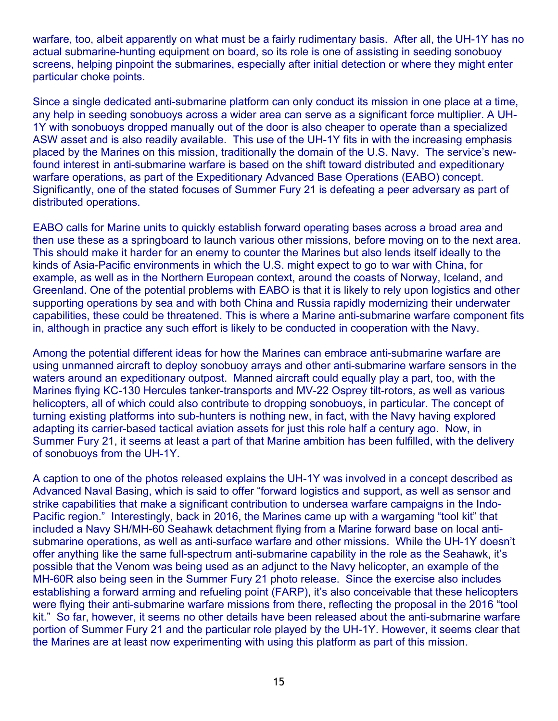warfare, too, albeit apparently on what must be a fairly rudimentary basis. After all, the UH-1Y has no actual submarine-hunting equipment on board, so its role is one of assisting in seeding sonobuoy screens, helping pinpoint the submarines, especially after initial detection or where they might enter particular choke points.

Since a single dedicated anti-submarine platform can only conduct its mission in one place at a time, any help in seeding sonobuoys across a wider area can serve as a significant force multiplier. A UH-1Y with sonobuoys dropped manually out of the door is also cheaper to operate than a specialized ASW asset and is also readily available. This use of the UH-1Y fits in with the increasing emphasis placed by the Marines on this mission, traditionally the domain of the U.S. Navy. The service's newfound interest in anti-submarine warfare is based on the shift toward distributed and expeditionary warfare operations, as part of the Expeditionary Advanced Base Operations (EABO) concept. Significantly, one of the stated focuses of Summer Fury 21 is defeating a peer adversary as part of distributed operations.

EABO calls for Marine units to quickly establish forward operating bases across a broad area and then use these as a springboard to launch various other missions, before moving on to the next area. This should make it harder for an enemy to counter the Marines but also lends itself ideally to the kinds of Asia-Pacific environments in which the U.S. might expect to go to war with China, for example, as well as in the Northern European context, around the coasts of Norway, Iceland, and Greenland. One of the potential problems with EABO is that it is likely to rely upon logistics and other supporting operations by sea and with both China and Russia rapidly modernizing their underwater capabilities, these could be threatened. This is where a Marine anti-submarine warfare component fits in, although in practice any such effort is likely to be conducted in cooperation with the Navy.

Among the potential different ideas for how the Marines can embrace anti-submarine warfare are using unmanned aircraft to deploy sonobuoy arrays and other anti-submarine warfare sensors in the waters around an expeditionary outpost. Manned aircraft could equally play a part, too, with the Marines flying KC-130 Hercules tanker-transports and MV-22 Osprey tilt-rotors, as well as various helicopters, all of which could also contribute to dropping sonobuoys, in particular. The concept of turning existing platforms into sub-hunters is nothing new, in fact, with the Navy having explored adapting its carrier-based tactical aviation assets for just this role half a century ago. Now, in Summer Fury 21, it seems at least a part of that Marine ambition has been fulfilled, with the delivery of sonobuoys from the UH-1Y.

A caption to one of the photos released explains the UH-1Y was involved in a concept described as Advanced Naval Basing, which is said to offer "forward logistics and support, as well as sensor and strike capabilities that make a significant contribution to undersea warfare campaigns in the Indo-Pacific region." Interestingly, back in 2016, the Marines came up with a wargaming "tool kit" that included a Navy SH/MH-60 Seahawk detachment flying from a Marine forward base on local antisubmarine operations, as well as anti-surface warfare and other missions. While the UH-1Y doesn't offer anything like the same full-spectrum anti-submarine capability in the role as the Seahawk, it's possible that the Venom was being used as an adjunct to the Navy helicopter, an example of the MH-60R also being seen in the Summer Fury 21 photo release. Since the exercise also includes establishing a forward arming and refueling point (FARP), it's also conceivable that these helicopters were flying their anti-submarine warfare missions from there, reflecting the proposal in the 2016 "tool kit." So far, however, it seems no other details have been released about the anti-submarine warfare portion of Summer Fury 21 and the particular role played by the UH-1Y. However, it seems clear that the Marines are at least now experimenting with using this platform as part of this mission.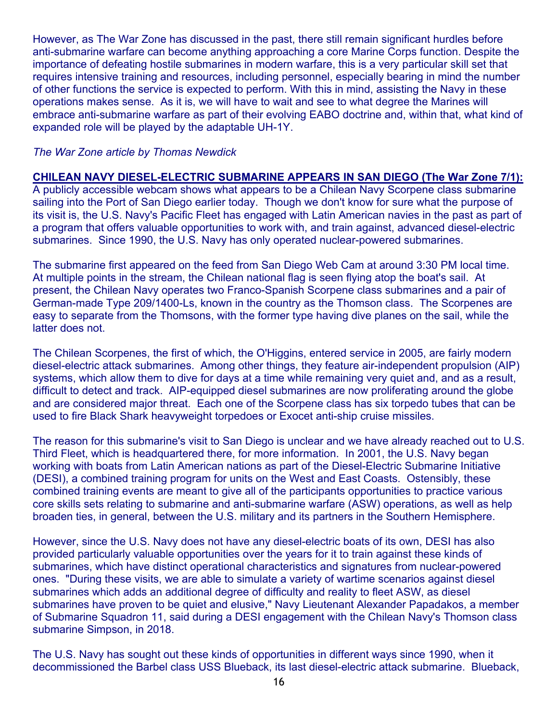However, as The War Zone has discussed in the past, there still remain significant hurdles before anti-submarine warfare can become anything approaching a core Marine Corps function. Despite the importance of defeating hostile submarines in modern warfare, this is a very particular skill set that requires intensive training and resources, including personnel, especially bearing in mind the number of other functions the service is expected to perform. With this in mind, assisting the Navy in these operations makes sense. As it is, we will have to wait and see to what degree the Marines will embrace anti-submarine warfare as part of their evolving EABO doctrine and, within that, what kind of expanded role will be played by the adaptable UH-1Y.

#### *The War Zone article by Thomas Newdick*

#### **CHILEAN NAVY DIESEL-ELECTRIC SUBMARINE APPEARS IN SAN DIEGO (The War Zone 7/1):**

A publicly accessible webcam shows what appears to be a Chilean Navy Scorpene class submarine sailing into the Port of San Diego earlier today. Though we don't know for sure what the purpose of its visit is, the U.S. Navy's Pacific Fleet has engaged with Latin American navies in the past as part of a program that offers valuable opportunities to work with, and train against, advanced diesel-electric submarines. Since 1990, the U.S. Navy has only operated nuclear-powered submarines.

The submarine first appeared on the feed from San Diego Web Cam at around 3:30 PM local time. At multiple points in the stream, the Chilean national flag is seen flying atop the boat's sail. At present, the Chilean Navy operates two Franco-Spanish Scorpene class submarines and a pair of German-made Type 209/1400-Ls, known in the country as the Thomson class. The Scorpenes are easy to separate from the Thomsons, with the former type having dive planes on the sail, while the latter does not.

The Chilean Scorpenes, the first of which, the O'Higgins, entered service in 2005, are fairly modern diesel-electric attack submarines. Among other things, they feature air-independent propulsion (AIP) systems, which allow them to dive for days at a time while remaining very quiet and, and as a result, difficult to detect and track. AIP-equipped diesel submarines are now proliferating around the globe and are considered major threat. Each one of the Scorpene class has six torpedo tubes that can be used to fire Black Shark heavyweight torpedoes or Exocet anti-ship cruise missiles.

The reason for this submarine's visit to San Diego is unclear and we have already reached out to U.S. Third Fleet, which is headquartered there, for more information. In 2001, the U.S. Navy began working with boats from Latin American nations as part of the Diesel-Electric Submarine Initiative (DESI), a combined training program for units on the West and East Coasts. Ostensibly, these combined training events are meant to give all of the participants opportunities to practice various core skills sets relating to submarine and anti-submarine warfare (ASW) operations, as well as help broaden ties, in general, between the U.S. military and its partners in the Southern Hemisphere.

However, since the U.S. Navy does not have any diesel-electric boats of its own, DESI has also provided particularly valuable opportunities over the years for it to train against these kinds of submarines, which have distinct operational characteristics and signatures from nuclear-powered ones. "During these visits, we are able to simulate a variety of wartime scenarios against diesel submarines which adds an additional degree of difficulty and reality to fleet ASW, as diesel submarines have proven to be quiet and elusive," Navy Lieutenant Alexander Papadakos, a member of Submarine Squadron 11, said during a DESI engagement with the Chilean Navy's Thomson class submarine Simpson, in 2018.

The U.S. Navy has sought out these kinds of opportunities in different ways since 1990, when it decommissioned the Barbel class USS Blueback, its last diesel-electric attack submarine. Blueback,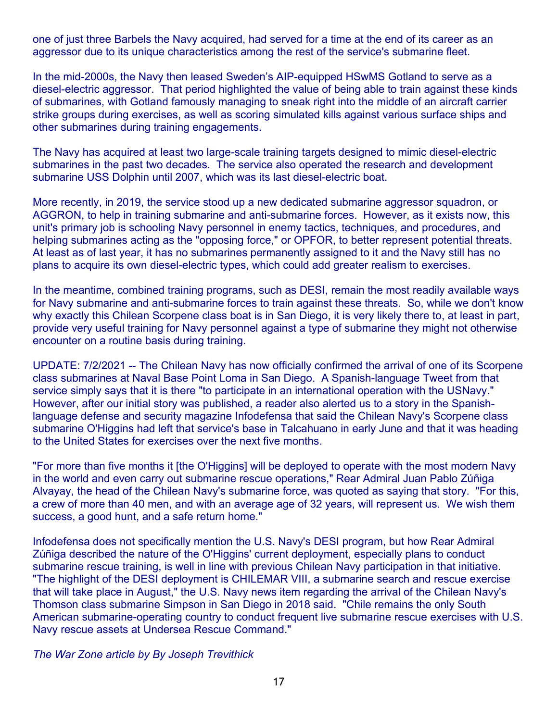one of just three Barbels the Navy acquired, had served for a time at the end of its career as an aggressor due to its unique characteristics among the rest of the service's submarine fleet.

In the mid-2000s, the Navy then leased Sweden's AIP-equipped HSwMS Gotland to serve as a diesel-electric aggressor. That period highlighted the value of being able to train against these kinds of submarines, with Gotland famously managing to sneak right into the middle of an aircraft carrier strike groups during exercises, as well as scoring simulated kills against various surface ships and other submarines during training engagements.

The Navy has acquired at least two large-scale training targets designed to mimic diesel-electric submarines in the past two decades. The service also operated the research and development submarine USS Dolphin until 2007, which was its last diesel-electric boat.

More recently, in 2019, the service stood up a new dedicated submarine aggressor squadron, or AGGRON, to help in training submarine and anti-submarine forces. However, as it exists now, this unit's primary job is schooling Navy personnel in enemy tactics, techniques, and procedures, and helping submarines acting as the "opposing force," or OPFOR, to better represent potential threats. At least as of last year, it has no submarines permanently assigned to it and the Navy still has no plans to acquire its own diesel-electric types, which could add greater realism to exercises.

In the meantime, combined training programs, such as DESI, remain the most readily available ways for Navy submarine and anti-submarine forces to train against these threats. So, while we don't know why exactly this Chilean Scorpene class boat is in San Diego, it is very likely there to, at least in part, provide very useful training for Navy personnel against a type of submarine they might not otherwise encounter on a routine basis during training.

UPDATE: 7/2/2021 -- The Chilean Navy has now officially confirmed the arrival of one of its Scorpene class submarines at Naval Base Point Loma in San Diego. A Spanish-language Tweet from that service simply says that it is there "to participate in an international operation with the USNavy." However, after our initial story was published, a reader also alerted us to a story in the Spanishlanguage defense and security magazine Infodefensa that said the Chilean Navy's Scorpene class submarine O'Higgins had left that service's base in Talcahuano in early June and that it was heading to the United States for exercises over the next five months.

"For more than five months it [the O'Higgins] will be deployed to operate with the most modern Navy in the world and even carry out submarine rescue operations," Rear Admiral Juan Pablo Zúñiga Alvayay, the head of the Chilean Navy's submarine force, was quoted as saying that story. "For this, a crew of more than 40 men, and with an average age of 32 years, will represent us. We wish them success, a good hunt, and a safe return home."

Infodefensa does not specifically mention the U.S. Navy's DESI program, but how Rear Admiral Zúñiga described the nature of the O'Higgins' current deployment, especially plans to conduct submarine rescue training, is well in line with previous Chilean Navy participation in that initiative. "The highlight of the DESI deployment is CHILEMAR VIII, a submarine search and rescue exercise that will take place in August," the U.S. Navy news item regarding the arrival of the Chilean Navy's Thomson class submarine Simpson in San Diego in 2018 said. "Chile remains the only South American submarine-operating country to conduct frequent live submarine rescue exercises with U.S. Navy rescue assets at Undersea Rescue Command."

*The War Zone article by By Joseph Trevithick*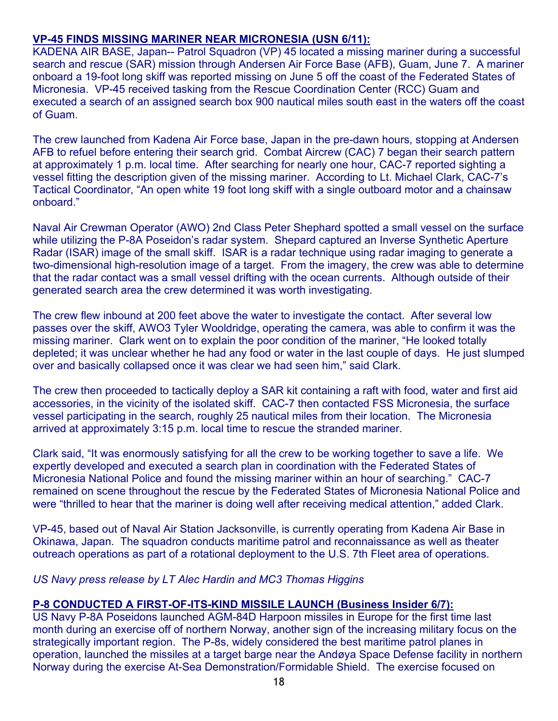#### **VP-45 FINDS MISSING MARINER NEAR MICRONESIA (USN 6/11):**

KADENA AIR BASE, Japan-- Patrol Squadron (VP) 45 located a missing mariner during a successful search and rescue (SAR) mission through Andersen Air Force Base (AFB), Guam, June 7. A mariner onboard a 19-foot long skiff was reported missing on June 5 off the coast of the Federated States of Micronesia. VP-45 received tasking from the Rescue Coordination Center (RCC) Guam and executed a search of an assigned search box 900 nautical miles south east in the waters off the coast of Guam.

The crew launched from Kadena Air Force base, Japan in the pre-dawn hours, stopping at Andersen AFB to refuel before entering their search grid. Combat Aircrew (CAC) 7 began their search pattern at approximately 1 p.m. local time. After searching for nearly one hour, CAC-7 reported sighting a vessel fitting the description given of the missing mariner. According to Lt. Michael Clark, CAC-7's Tactical Coordinator, "An open white 19 foot long skiff with a single outboard motor and a chainsaw onboard."

Naval Air Crewman Operator (AWO) 2nd Class Peter Shephard spotted a small vessel on the surface while utilizing the P-8A Poseidon's radar system. Shepard captured an Inverse Synthetic Aperture Radar (ISAR) image of the small skiff. ISAR is a radar technique using radar imaging to generate a two-dimensional high-resolution image of a target. From the imagery, the crew was able to determine that the radar contact was a small vessel drifting with the ocean currents. Although outside of their generated search area the crew determined it was worth investigating.

The crew flew inbound at 200 feet above the water to investigate the contact. After several low passes over the skiff, AWO3 Tyler Wooldridge, operating the camera, was able to confirm it was the missing mariner. Clark went on to explain the poor condition of the mariner, "He looked totally depleted; it was unclear whether he had any food or water in the last couple of days. He just slumped over and basically collapsed once it was clear we had seen him," said Clark.

The crew then proceeded to tactically deploy a SAR kit containing a raft with food, water and first aid accessories, in the vicinity of the isolated skiff. CAC-7 then contacted FSS Micronesia, the surface vessel participating in the search, roughly 25 nautical miles from their location. The Micronesia arrived at approximately 3:15 p.m. local time to rescue the stranded mariner.

Clark said, "It was enormously satisfying for all the crew to be working together to save a life. We expertly developed and executed a search plan in coordination with the Federated States of Micronesia National Police and found the missing mariner within an hour of searching." CAC-7 remained on scene throughout the rescue by the Federated States of Micronesia National Police and were "thrilled to hear that the mariner is doing well after receiving medical attention," added Clark.

VP-45, based out of Naval Air Station Jacksonville, is currently operating from Kadena Air Base in Okinawa, Japan. The squadron conducts maritime patrol and reconnaissance as well as theater outreach operations as part of a rotational deployment to the U.S. 7th Fleet area of operations.

*US Navy press release by LT Alec Hardin and MC3 Thomas Higgins* 

#### **P-8 CONDUCTED A FIRST-OF-ITS-KIND MISSILE LAUNCH (Business Insider 6/7):**

US Navy P-8A Poseidons launched AGM-84D Harpoon missiles in Europe for the first time last month during an exercise off of northern Norway, another sign of the increasing military focus on the strategically important region. The P-8s, widely considered the best maritime patrol planes in operation, launched the missiles at a target barge near the Andøya Space Defense facility in northern Norway during the exercise At-Sea Demonstration/Formidable Shield. The exercise focused on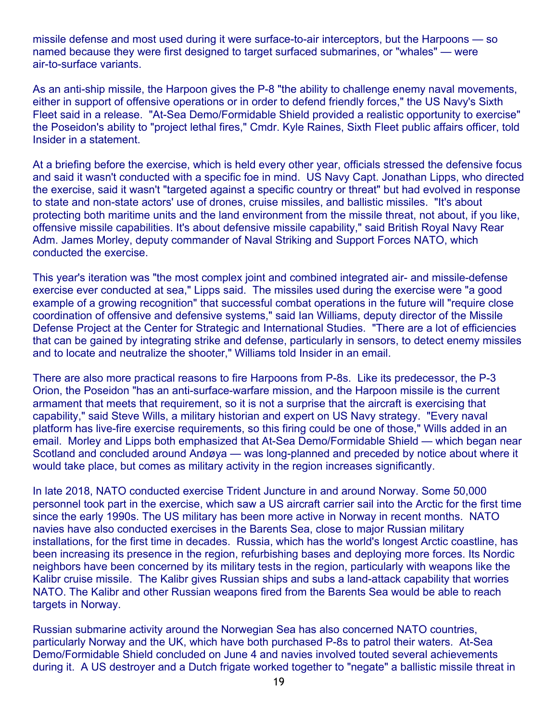missile defense and most used during it were surface-to-air interceptors, but the Harpoons — so named because they were first designed to target surfaced submarines, or "whales" — were air-to-surface variants.

As an anti-ship missile, the Harpoon gives the P-8 "the ability to challenge enemy naval movements, either in support of offensive operations or in order to defend friendly forces," the US Navy's Sixth Fleet said in a release. "At-Sea Demo/Formidable Shield provided a realistic opportunity to exercise" the Poseidon's ability to "project lethal fires," Cmdr. Kyle Raines, Sixth Fleet public affairs officer, told Insider in a statement.

At a briefing before the exercise, which is held every other year, officials stressed the defensive focus and said it wasn't conducted with a specific foe in mind. US Navy Capt. Jonathan Lipps, who directed the exercise, said it wasn't "targeted against a specific country or threat" but had evolved in response to state and non-state actors' use of drones, cruise missiles, and ballistic missiles. "It's about protecting both maritime units and the land environment from the missile threat, not about, if you like, offensive missile capabilities. It's about defensive missile capability," said British Royal Navy Rear Adm. James Morley, deputy commander of Naval Striking and Support Forces NATO, which conducted the exercise.

This year's iteration was "the most complex joint and combined integrated air- and missile-defense exercise ever conducted at sea," Lipps said. The missiles used during the exercise were "a good example of a growing recognition" that successful combat operations in the future will "require close coordination of offensive and defensive systems," said Ian Williams, deputy director of the Missile Defense Project at the Center for Strategic and International Studies. "There are a lot of efficiencies that can be gained by integrating strike and defense, particularly in sensors, to detect enemy missiles and to locate and neutralize the shooter," Williams told Insider in an email.

There are also more practical reasons to fire Harpoons from P-8s. Like its predecessor, the P-3 Orion, the Poseidon "has an anti-surface-warfare mission, and the Harpoon missile is the current armament that meets that requirement, so it is not a surprise that the aircraft is exercising that capability," said Steve Wills, a military historian and expert on US Navy strategy. "Every naval platform has live-fire exercise requirements, so this firing could be one of those," Wills added in an email. Morley and Lipps both emphasized that At-Sea Demo/Formidable Shield — which began near Scotland and concluded around Andøya — was long-planned and preceded by notice about where it would take place, but comes as military activity in the region increases significantly.

In late 2018, NATO conducted exercise Trident Juncture in and around Norway. Some 50,000 personnel took part in the exercise, which saw a US aircraft carrier sail into the Arctic for the first time since the early 1990s. The US military has been more active in Norway in recent months. NATO navies have also conducted exercises in the Barents Sea, close to major Russian military installations, for the first time in decades. Russia, which has the world's longest Arctic coastline, has been increasing its presence in the region, refurbishing bases and deploying more forces. Its Nordic neighbors have been concerned by its military tests in the region, particularly with weapons like the Kalibr cruise missile. The Kalibr gives Russian ships and subs a land-attack capability that worries NATO. The Kalibr and other Russian weapons fired from the Barents Sea would be able to reach targets in Norway.

Russian submarine activity around the Norwegian Sea has also concerned NATO countries, particularly Norway and the UK, which have both purchased P-8s to patrol their waters. At-Sea Demo/Formidable Shield concluded on June 4 and navies involved touted several achievements during it. A US destroyer and a Dutch frigate worked together to "negate" a ballistic missile threat in